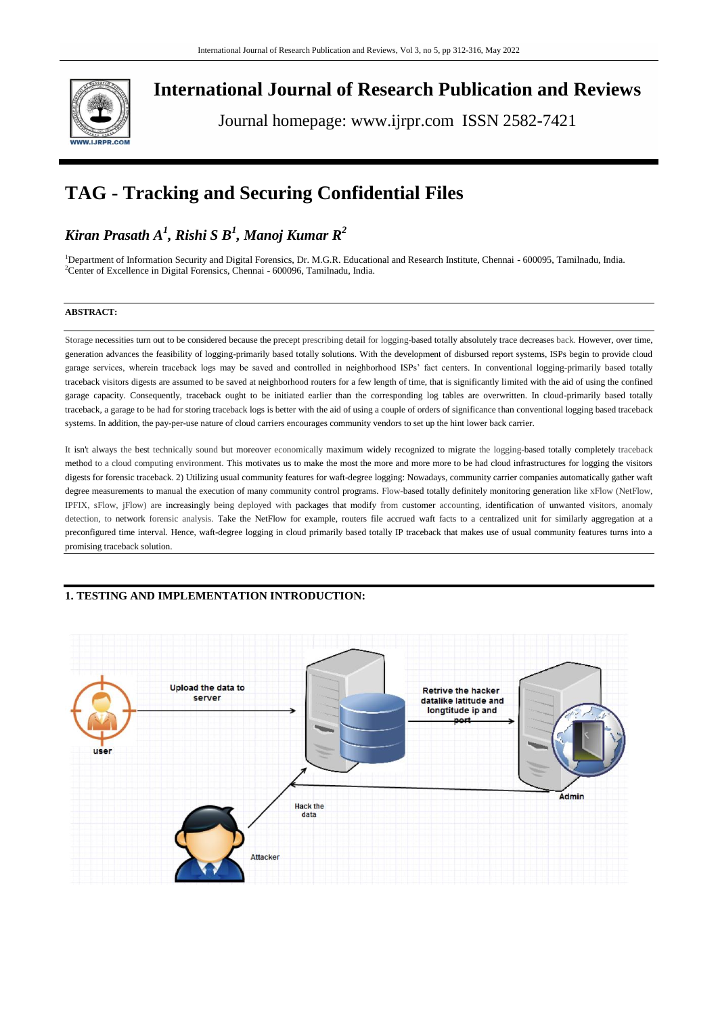

**International Journal of Research Publication and Reviews**

Journal homepage: www.ijrpr.com ISSN 2582-7421

# **TAG - Tracking and Securing Confidential Files**

## *Kiran Prasath A<sup>1</sup> , Rishi S B<sup>1</sup> , Manoj Kumar R<sup>2</sup>*

<sup>1</sup>Department of Information Security and Digital Forensics, Dr. M.G.R. Educational and Research Institute, Chennai - 600095, Tamilnadu, India. <sup>2</sup>Center of Excellence in Digital Forensics, Chennai - 600096, Tamilnadu, India.

#### **ABSTRACT:**

Storage necessities turn out to be considered because the precept prescribing detail for logging-based totally absolutely trace decreases back. However, over time, generation advances the feasibility of logging-primarily based totally solutions. With the development of disbursed report systems, ISPs begin to provide cloud garage services, wherein traceback logs may be saved and controlled in neighborhood ISPs' fact centers. In conventional logging-primarily based totally traceback visitors digests are assumed to be saved at neighborhood routers for a few length of time, that is significantly limited with the aid of using the confined garage capacity. Consequently, traceback ought to be initiated earlier than the corresponding log tables are overwritten. In cloud-primarily based totally traceback, a garage to be had for storing traceback logs is better with the aid of using a couple of orders of significance than conventional logging based traceback systems. In addition, the pay-per-use nature of cloud carriers encourages community vendors to set up the hint lower back carrier.

It isn't always the best technically sound but moreover economically maximum widely recognized to migrate the logging-based totally completely traceback method to a cloud computing environment. This motivates us to make the most the more and more more to be had cloud infrastructures for logging the visitors digests for forensic traceback. 2) Utilizing usual community features for waft-degree logging: Nowadays, community carrier companies automatically gather waft degree measurements to manual the execution of many community control programs. Flow-based totally definitely monitoring generation like xFlow (NetFlow, IPFIX, sFlow, jFlow) are increasingly being deployed with packages that modify from customer accounting, identification of unwanted visitors, anomaly detection, to network forensic analysis. Take the NetFlow for example, routers file accrued waft facts to a centralized unit for similarly aggregation at a preconfigured time interval. Hence, waft-degree logging in cloud primarily based totally IP traceback that makes use of usual community features turns into a promising traceback solution.

### **1. TESTING AND IMPLEMENTATION INTRODUCTION:**

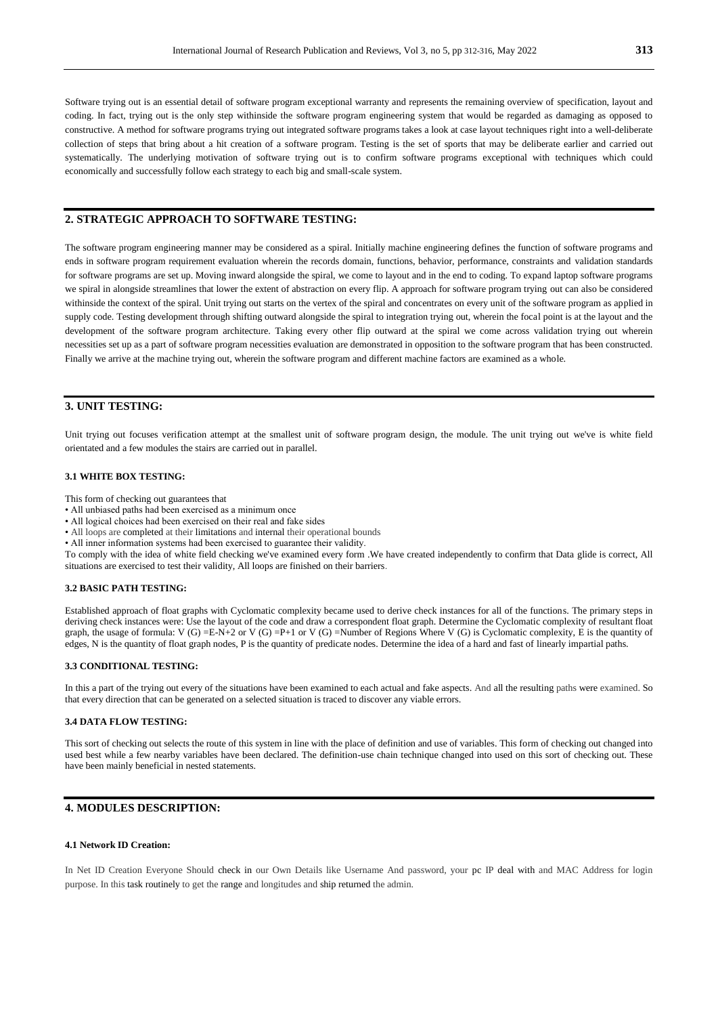Software trying out is an essential detail of software program exceptional warranty and represents the remaining overview of specification, layout and coding. In fact, trying out is the only step withinside the software program engineering system that would be regarded as damaging as opposed to constructive. A method for software programs trying out integrated software programs takes a look at case layout techniques right into a well-deliberate collection of steps that bring about a hit creation of a software program. Testing is the set of sports that may be deliberate earlier and carried out systematically. The underlying motivation of software trying out is to confirm software programs exceptional with techniques which could economically and successfully follow each strategy to each big and small-scale system.

#### **2. STRATEGIC APPROACH TO SOFTWARE TESTING:**

The software program engineering manner may be considered as a spiral. Initially machine engineering defines the function of software programs and ends in software program requirement evaluation wherein the records domain, functions, behavior, performance, constraints and validation standards for software programs are set up. Moving inward alongside the spiral, we come to layout and in the end to coding. To expand laptop software programs we spiral in alongside streamlines that lower the extent of abstraction on every flip. A approach for software program trying out can also be considered withinside the context of the spiral. Unit trying out starts on the vertex of the spiral and concentrates on every unit of the software program as applied in supply code. Testing development through shifting outward alongside the spiral to integration trying out, wherein the focal point is at the layout and the development of the software program architecture. Taking every other flip outward at the spiral we come across validation trying out wherein necessities set up as a part of software program necessities evaluation are demonstrated in opposition to the software program that has been constructed. Finally we arrive at the machine trying out, wherein the software program and different machine factors are examined as a whole.

### **3. UNIT TESTING:**

Unit trying out focuses verification attempt at the smallest unit of software program design, the module. The unit trying out we've is white field orientated and a few modules the stairs are carried out in parallel.

#### **3.1 WHITE BOX TESTING:**

This form of checking out guarantees that

- All unbiased paths had been exercised as a minimum once
- All logical choices had been exercised on their real and fake sides
- All loops are completed at their limitations and internal their operational bounds
- All inner information systems had been exercised to guarantee their validity.

To comply with the idea of white field checking we've examined every form .We have created independently to confirm that Data glide is correct, All situations are exercised to test their validity, All loops are finished on their barriers.

#### **3.2 BASIC PATH TESTING:**

Established approach of float graphs with Cyclomatic complexity became used to derive check instances for all of the functions. The primary steps in deriving check instances were: Use the layout of the code and draw a correspondent float graph. Determine the Cyclomatic complexity of resultant float graph, the usage of formula: V (G) =E-N+2 or V (G) =P+1 or V (G) =Number of Regions Where V (G) is Cyclomatic complexity, E is the quantity of edges, N is the quantity of float graph nodes, P is the quantity of predicate nodes. Determine the idea of a hard and fast of linearly impartial paths.

#### **3.3 CONDITIONAL TESTING:**

In this a part of the trying out every of the situations have been examined to each actual and fake aspects. And all the resulting paths were examined. So that every direction that can be generated on a selected situation is traced to discover any viable errors.

#### **3.4 DATA FLOW TESTING:**

This sort of checking out selects the route of this system in line with the place of definition and use of variables. This form of checking out changed into used best while a few nearby variables have been declared. The definition-use chain technique changed into used on this sort of checking out. These have been mainly beneficial in nested statements.

### **4. MODULES DESCRIPTION:**

#### **4.1 Network ID Creation:**

In Net ID Creation Everyone Should check in our Own Details like Username And password, your pc IP deal with and MAC Address for login purpose. In this task routinely to get the range and longitudes and ship returned the admin.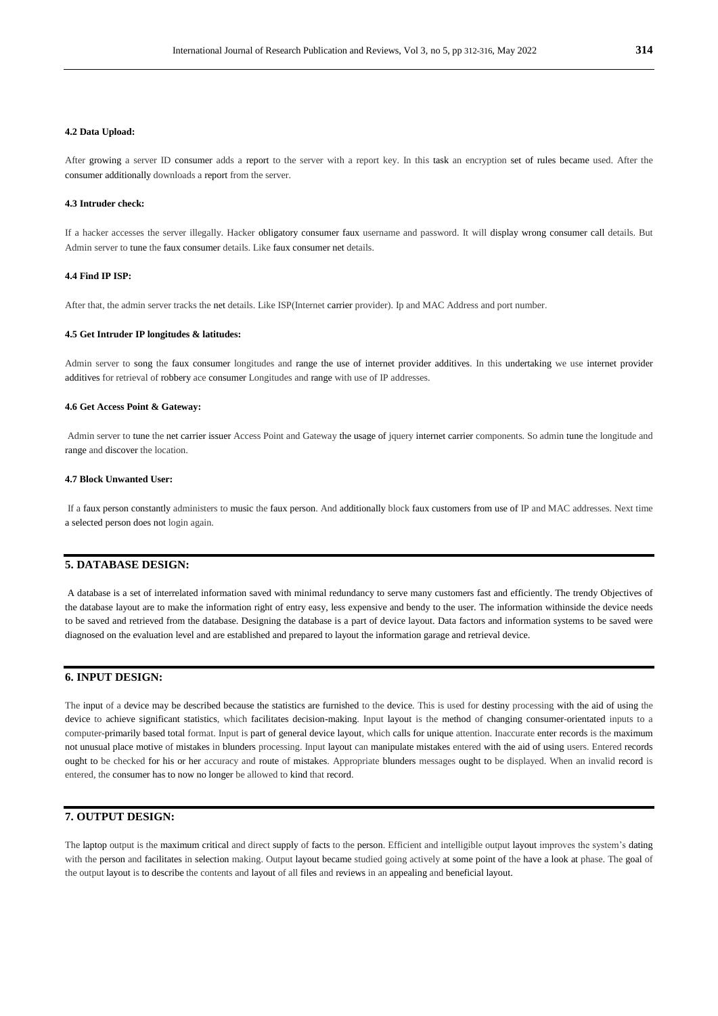#### **4.2 Data Upload:**

After growing a server ID consumer adds a report to the server with a report key. In this task an encryption set of rules became used. After the consumer additionally downloads a report from the server.

#### **4.3 Intruder check:**

If a hacker accesses the server illegally. Hacker obligatory consumer faux username and password. It will display wrong consumer call details. But Admin server to tune the faux consumer details. Like faux consumer net details.

#### **4.4 Find IP ISP:**

After that, the admin server tracks the net details. Like ISP(Internet carrier provider). Ip and MAC Address and port number.

#### **4.5 Get Intruder IP longitudes & latitudes:**

Admin server to song the faux consumer longitudes and range the use of internet provider additives. In this undertaking we use internet provider additives for retrieval of robbery ace consumer Longitudes and range with use of IP addresses.

#### **4.6 Get Access Point & Gateway:**

Admin server to tune the net carrier issuer Access Point and Gateway the usage of jquery internet carrier components. So admin tune the longitude and range and discover the location.

#### **4.7 Block Unwanted User:**

If a faux person constantly administers to music the faux person. And additionally block faux customers from use of IP and MAC addresses. Next time a selected person does not login again.

#### **5. DATABASE DESIGN:**

A database is a set of interrelated information saved with minimal redundancy to serve many customers fast and efficiently. The trendy Objectives of the database layout are to make the information right of entry easy, less expensive and bendy to the user. The information withinside the device needs to be saved and retrieved from the database. Designing the database is a part of device layout. Data factors and information systems to be saved were diagnosed on the evaluation level and are established and prepared to layout the information garage and retrieval device.

#### **6. INPUT DESIGN:**

The input of a device may be described because the statistics are furnished to the device. This is used for destiny processing with the aid of using the device to achieve significant statistics, which facilitates decision-making. Input layout is the method of changing consumer-orientated inputs to a computer-primarily based total format. Input is part of general device layout, which calls for unique attention. Inaccurate enter records is the maximum not unusual place motive of mistakes in blunders processing. Input layout can manipulate mistakes entered with the aid of using users. Entered records ought to be checked for his or her accuracy and route of mistakes. Appropriate blunders messages ought to be displayed. When an invalid record is entered, the consumer has to now no longer be allowed to kind that record.

### **7. OUTPUT DESIGN:**

The laptop output is the maximum critical and direct supply of facts to the person. Efficient and intelligible output layout improves the system's dating with the person and facilitates in selection making. Output layout became studied going actively at some point of the have a look at phase. The goal of the output layout is to describe the contents and layout of all files and reviews in an appealing and beneficial layout.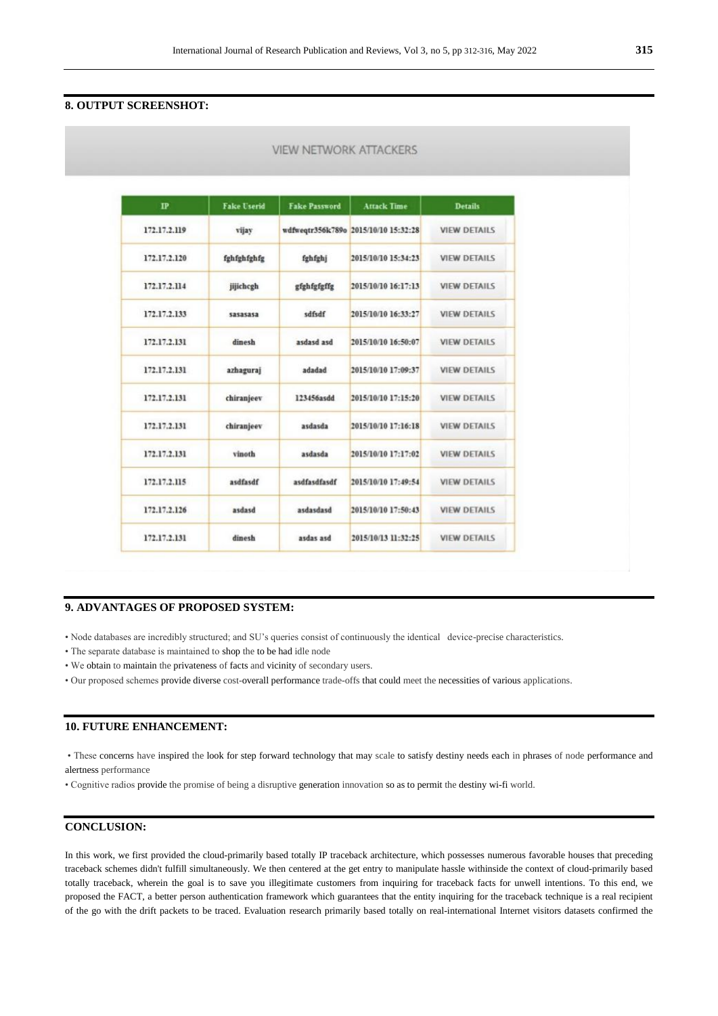**VIEW NETWORK ATTACKERS** 

### **8. OUTPUT SCREENSHOT:**

| $_{\rm IP}$  | <b>Fake Userid</b> | <b>Fake Password</b> | <b>Attack Time</b>                   | <b>Details</b>      |
|--------------|--------------------|----------------------|--------------------------------------|---------------------|
| 172.17.2.119 | vijay              |                      | wdfweqtr356k789o 2015/10/10 15:32:28 | <b>VIEW DETAILS</b> |
| 172.17.2.120 | fghfghfghfg        | fghfghj              | 2015/10/10 15:34:23                  | <b>VIEW DETAILS</b> |
| 172.17.2.114 | jijichcgh          | gfghfgfgffg          | 2015/10/10 16:17:13                  | <b>VIEW DETAILS</b> |
| 172.17.2.133 | sasasasa           | sdfsdf               | 2015/10/10 16:33:27                  | <b>VIEW DETAILS</b> |
| 172.17.2.131 | dinesh             | hze bzehze           | 2015/10/10 16:50:07                  | <b>VIEW DETAILS</b> |
| 172.17.2.131 | azhaguraj          | adadad               | 2015/10/10 17:09:37                  | <b>VIEW DETAILS</b> |
| 172.17.2.131 | chiranjeev         | 123456asdd           | 2015/10/10 17:15:20                  | <b>VIEW DETAILS</b> |
| 172.17.2.131 | chiranjeev         | asdasda              | 2015/10/10 17:16:18                  | <b>VIEW DETAILS</b> |
| 172.17.2.131 | vinoth             | asdasda              | 2015/10/10 17:17:02                  | <b>VIEW DETAILS</b> |
| 172.17.2.115 | asdfasdf           | asdfasdfasdf         | 2015/10/10 17:49:54                  | <b>VIEW DETAILS</b> |
| 172.17.2.126 | asdasd             | asdasdasd            | 2015/10/10 17:50:43                  | <b>VIEW DETAILS</b> |
| 172.17.2.131 | dinesh             | asdas asd            | 2015/10/13 11:32:25                  | <b>VIEW DETAILS</b> |

### **9. ADVANTAGES OF PROPOSED SYSTEM:**

• Node databases are incredibly structured; and SU's queries consist of continuously the identical device-precise characteristics.

- The separate database is maintained to shop the to be had idle node
- We obtain to maintain the privateness of facts and vicinity of secondary users.
- Our proposed schemes provide diverse cost-overall performance trade-offs that could meet the necessities of various applications.

### **10. FUTURE ENHANCEMENT:**

• These concerns have inspired the look for step forward technology that may scale to satisfy destiny needs each in phrases of node performance and alertness performance

• Cognitive radios provide the promise of being a disruptive generation innovation so as to permit the destiny wi-fi world.

### **CONCLUSION:**

In this work, we first provided the cloud-primarily based totally IP traceback architecture, which possesses numerous favorable houses that preceding traceback schemes didn't fulfill simultaneously. We then centered at the get entry to manipulate hassle withinside the context of cloud-primarily based totally traceback, wherein the goal is to save you illegitimate customers from inquiring for traceback facts for unwell intentions. To this end, we proposed the FACT, a better person authentication framework which guarantees that the entity inquiring for the traceback technique is a real recipient of the go with the drift packets to be traced. Evaluation research primarily based totally on real-international Internet visitors datasets confirmed the